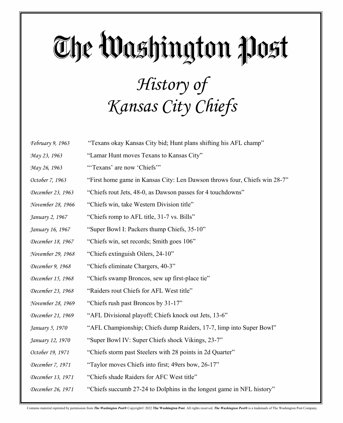#### The Washington Post *History of Kansas City Chiefs*

| February 9, 1963  | "Texans okay Kansas City bid; Hunt plans shifting his AFL champ"          |
|-------------------|---------------------------------------------------------------------------|
| May 23, 1963      | "Lamar Hunt moves Texans to Kansas City"                                  |
| May 26, 1963      | "Texans' are now 'Chiefs'"                                                |
| October 7, 1963   | "First home game in Kansas City: Len Dawson throws four, Chiefs win 28-7" |
| December 23, 1963 | "Chiefs rout Jets, 48-0, as Dawson passes for 4 touchdowns"               |
| November 28, 1966 | "Chiefs win, take Western Division title"                                 |
| January 2, 1967   | "Chiefs romp to AFL title, 31-7 vs. Bills"                                |
| January 16, 1967  | "Super Bowl I: Packers thump Chiefs, 35-10"                               |
| December 18, 1967 | "Chiefs win, set records; Smith goes 106"                                 |
| November 29, 1968 | "Chiefs extinguish Oilers, 24-10"                                         |
| December 9, 1968  | "Chiefs eliminate Chargers, 40-3"                                         |
| December 15, 1968 | "Chiefs swamp Broncos, sew up first-place tie"                            |
| December 23, 1968 | "Raiders rout Chiefs for AFL West title"                                  |
| November 28, 1969 | "Chiefs rush past Broncos by 31-17"                                       |
| December 21, 1969 | "AFL Divisional playoff; Chiefs knock out Jets, 13-6"                     |
| January 5, 1970   | "AFL Championship; Chiefs dump Raiders, 17-7, limp into Super Bowl"       |
| January 12, 1970  | "Super Bowl IV: Super Chiefs shock Vikings, 23-7"                         |
| October 19, 1971  | "Chiefs storm past Steelers with 28 points in 2d Quarter"                 |
| December 7, 1971  | "Taylor moves Chiefs into first; 49ers bow, 26-17"                        |
| December 13, 1971 | "Chiefs shade Raiders for AFC West title"                                 |
| December 26, 1971 | "Chiefs succumb 27-24 to Dolphins in the longest game in NFL history"     |

Contains material reprinted by permission from The Washington Post® Copyright© 2022 The Washington Post. All rights reserved. The Washington Post® is a trademark of The Washington Post Company.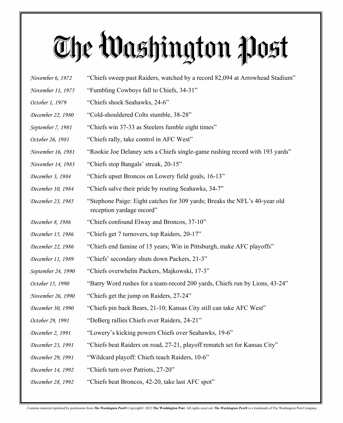| <i>November 6, 1972</i> | "Chiefs sweep past Raiders, watched by a record 82,094 at Arrowhead Stadium"                            |
|-------------------------|---------------------------------------------------------------------------------------------------------|
| November 11, 1975       | "Fumbling Cowboys fall to Chiefs, 34-31"                                                                |
| October 1, 1979         | "Chiefs shock Seahawks, 24-6"                                                                           |
| December 22, 1980       | "Cold-shouldered Colts stumble, 38-28"                                                                  |
| September 7, 1981       | "Chiefs win 37-33 as Steelers fumble eight times"                                                       |
| October 26, 1981        | "Chiefs rally, take control in AFC West"                                                                |
| November 16, 1981       | "Rookie Joe Delaney sets a Chiefs single-game rushing record with 193 yards"                            |
| November 14, 1983       | "Chiefs stop Bangals' streak, 20-15"                                                                    |
| December 3, 1984        | "Chiefs upset Broncos on Lowery field goals, 16-13"                                                     |
| December 10, 1984       | "Chiefs salve their pride by routing Seahawks, 34-7"                                                    |
| December 23, 1985       | "Stephone Paige: Eight catches for 309 yards; Breaks the NFL's 40-year old<br>reception yardage record" |
| December 8, 1986        | "Chiefs confound Elway and Broncos, 37-10"                                                              |
| December 15, 1986       | "Chiefs get 7 turnovers, top Raiders, 20-17"                                                            |
| December 22, 1986       | "Chiefs end famine of 15 years; Win in Pittsburgh, make AFC playoffs"                                   |
| December 11, 1989       | "Chiefs' secondary shuts down Packers, 21-3"                                                            |
| September 24, 1990      | "Chiefs overwhelm Packers, Majkowski, 17-3"                                                             |
| October 15, 1990        | "Barry Word rushes for a team-record 200 yards, Chiefs run by Lions, 43-24"                             |
| November 26, 1990       | "Chiefs get the jump on Raiders, 27-24"                                                                 |
| December 30, 1990       | "Chiefs pin back Bears, 21-10; Kansas City still can take AFC West"                                     |
| October 29, 1991        | "DeBerg rallies Chiefs over Raiders, 24-21"                                                             |
| December 2, 1991        | "Lowery's kicking powers Chiefs over Seahawks, 19-6"                                                    |
| December 23, 1991       | "Chiefs beat Raiders on road, 27-21, playoff rematch set for Kansas City"                               |
| December 29, 1991       | "Wildcard playoff: Chiefs teach Raiders, 10-6"                                                          |
| December 14, 1992       | "Chiefs turn over Patriots, 27-20"                                                                      |
| December 28, 1992       | "Chiefs beat Broncos, 42-20, take last AFC spot"                                                        |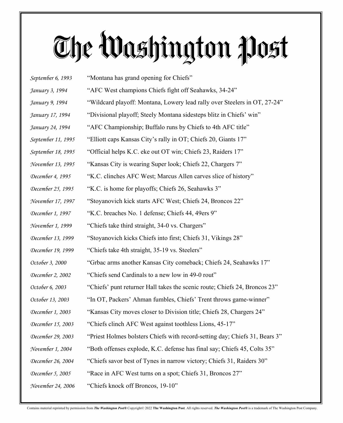*September 6, 1993* "Montana has grand opening for Chiefs" *January 3, 1994* "AFC West champions Chiefs fight off Seahawks, 34-24" *January 9, 1994* "Wildcard playoff: Montana, Lowery lead rally over Steelers in OT, 27-24" *January 17, 1994* "Divisional playoff; Steely Montana sidesteps blitz in Chiefs' win" *January 24, 1994* "AFC Championship; Buffalo runs by Chiefs to 4th AFC title" *September 11, 1995* "Elliott caps Kansas City's rally in OT; Chiefs 20, Giants 17" *September 18, 1995* "Official helps K.C. eke out OT win; Chiefs 23, Raiders 17" *November 13, 1995* "Kansas City is wearing Super look; Chiefs 22, Chargers 7" *December 4, 1995* "K.C. clinches AFC West; Marcus Allen carves slice of history" *December 25, 1995* "K.C. is home for playoffs; Chiefs 26, Seahawks 3" *November 17, 1997* "Stoyanovich kick starts AFC West; Chiefs 24, Broncos 22" *December 1, 1997* "K.C. breaches No. 1 defense; Chiefs 44, 49ers 9" *November 1, 1999* "Chiefs take third straight, 34-0 vs. Chargers" *December 13, 1999* "Stoyanovich kicks Chiefs into first; Chiefs 31, Vikings 28" *December 19, 1999* "Chiefs take 4th straight, 35-19 vs. Steelers" *October 3, 2000* "Grbac arms another Kansas City comeback; Chiefs 24, Seahawks 17" *December 2, 2002* "Chiefs send Cardinals to a new low in 49-0 rout" *October 6, 2003* "Chiefs' punt returner Hall takes the scenic route; Chiefs 24, Broncos 23" *October 13, 2003* "In OT, Packers' Ahman fumbles, Chiefs' Trent throws game-winner" *December 1, 2003* "Kansas City moves closer to Division title; Chiefs 28, Chargers 24" *December 15, 2003* "Chiefs clinch AFC West against toothless Lions, 45-17" *December 29, 2003* "Priest Holmes bolsters Chiefs with record-setting day; Chiefs 31, Bears 3" *November 1, 2004* "Both offenses explode, K.C. defense has final say; Chiefs 45, Colts 35" *December 26, 2004* "Chiefs savor best of Tynes in narrow victory; Chiefs 31, Raiders 30" *December 5, 2005* "Race in AFC West turns on a spot; Chiefs 31, Broncos 27" *November 24, 2006* "Chiefs knock off Broncos, 19-10"

Contains material reprinted by permission from The Washington Post® Copyright© 2022 The Washington Post. All rights reserved. The Washington Post® is a trademark of The Washington Post Company.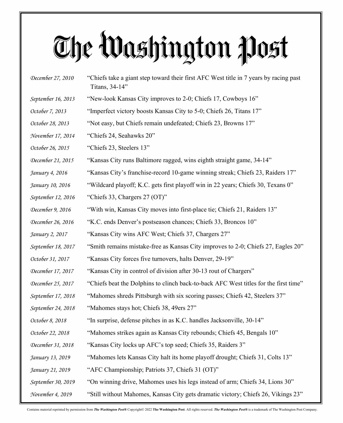| December 27, 2010  | "Chiefs take a giant step toward their first AFC West title in 7 years by racing past<br>Titans, 34-14" |
|--------------------|---------------------------------------------------------------------------------------------------------|
| September 16, 2013 | "New-look Kansas City improves to 2-0; Chiefs 17, Cowboys 16"                                           |
| October 7, 2013    | "Imperfect victory boosts Kansas City to 5-0; Chiefs 26, Titans 17"                                     |
| October 28, 2013   | "Not easy, but Chiefs remain undefeated; Chiefs 23, Browns 17"                                          |
| November 17, 2014  | "Chiefs 24, Seahawks 20"                                                                                |
| October 26, 2015   | "Chiefs 23, Steelers 13"                                                                                |
| December 21, 2015  | "Kansas City runs Baltimore ragged, wins eighth straight game, 34-14"                                   |
| January 4, 2016    | "Kansas City's franchise-record 10-game winning streak; Chiefs 23, Raiders 17"                          |
| January 10, 2016   | "Wildcard playoff; K.C. gets first playoff win in 22 years; Chiefs 30, Texans 0"                        |
| September 12, 2016 | "Chiefs 33, Chargers $27 (OT)$ "                                                                        |
| December 9, 2016   | "With win, Kansas City moves into first-place tie; Chiefs 21, Raiders 13"                               |
| December 26, 2016  | "K.C. ends Denver's postseason chances; Chiefs 33, Broncos 10"                                          |
| January 2, 2017    | "Kansas City wins AFC West; Chiefs 37, Chargers 27"                                                     |
| September 18, 2017 | "Smith remains mistake-free as Kansas City improves to 2-0; Chiefs 27, Eagles 20"                       |
| October 31, 2017   | "Kansas City forces five turnovers, halts Denver, 29-19"                                                |
| December 17, 2017  | "Kansas City in control of division after 30-13 rout of Chargers"                                       |
| December 25, 2017  | "Chiefs beat the Dolphins to clinch back-to-back AFC West titles for the first time"                    |
| September 17, 2018 | "Mahomes shreds Pittsburgh with six scoring passes; Chiefs 42, Steelers 37"                             |
| September 24, 2018 | "Mahomes stays hot; Chiefs 38, 49ers 27"                                                                |
| October 8, 2018    | "In surprise, defense pitches in as K.C. handles Jacksonville, 30-14"                                   |
| October 22, 2018   | "Mahomes strikes again as Kansas City rebounds; Chiefs 45, Bengals 10"                                  |
| December 31, 2018  | "Kansas City locks up AFC's top seed; Chiefs 35, Raiders 3"                                             |
| January 13, 2019   | "Mahomes lets Kansas City halt its home playoff drought; Chiefs 31, Colts 13"                           |
| January 21, 2019   | "AFC Championship; Patriots 37, Chiefs 31 (OT)"                                                         |
| September 30, 2019 | "On winning drive, Mahomes uses his legs instead of arm; Chiefs 34, Lions 30"                           |
| November 4, 2019   | "Still without Mahomes, Kansas City gets dramatic victory; Chiefs 26, Vikings 23"                       |